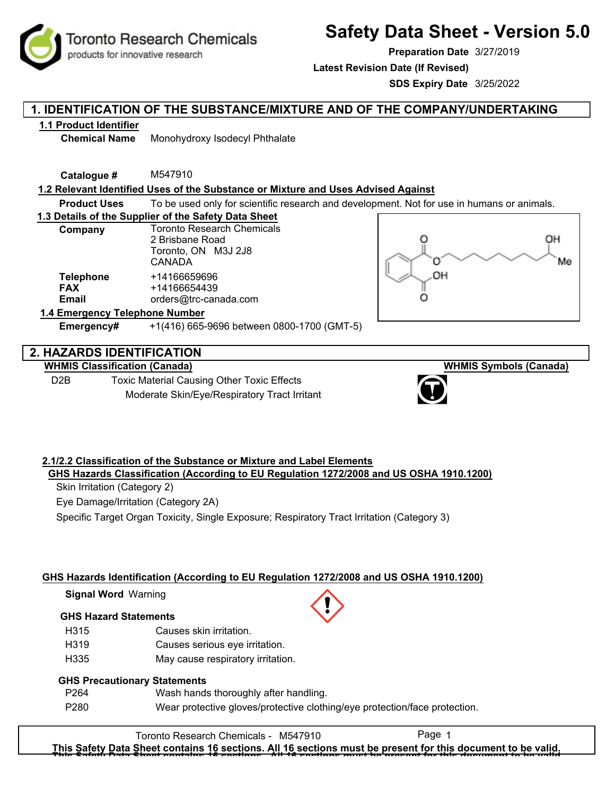**Toronto Research Chemicals** products for innovative research

# **Safety Data Sheet - Version 5.0**

**Preparation Date** 3/27/2019

**Latest Revision Date (If Revised)**

**SDS Expiry Date** 3/25/2022

## **1. IDENTIFICATION OF THE SUBSTANCE/MIXTURE AND OF THE COMPANY/UNDERTAKING**

#### **1.1 Product Identifier**

**Chemical Name** Monohydroxy Isodecyl Phthalate

**Catalogue #** M547910

#### **1.2 Relevant Identified Uses of the Substance or Mixture and Uses Advised Against**

**Product Uses** To be used only for scientific research and development. Not for use in humans or animals.

#### **1.3 Details of the Supplier of the Safety Data Sheet**

| Company                                 | <b>Toronto Research Chemicals</b><br>2 Brisbane Road<br>Toronto, ON M3J 2J8<br><b>CANADA</b> |  |  |  |
|-----------------------------------------|----------------------------------------------------------------------------------------------|--|--|--|
| <b>Telephone</b><br><b>FAX</b><br>Email | +14166659696<br>+14166654439<br>orders@trc-canada.com                                        |  |  |  |
| 1.4 Emergency Telephone Number          |                                                                                              |  |  |  |

# OH O Me OH Ω

# **2. HAZARDS IDENTIFICATION**

#### **WHMIS Classification (Canada)**

D2B Toxic Material Causing Other Toxic Effects Moderate Skin/Eye/Respiratory Tract Irritant

**Emergency#** +1(416) 665-9696 between 0800-1700 (GMT-5)



#### **2.1/2.2 Classification of the Substance or Mixture and Label Elements GHS Hazards Classification (According to EU Regulation 1272/2008 and US OSHA 1910.1200)**

Skin Irritation (Category 2)

Eye Damage/Irritation (Category 2A)

Specific Target Organ Toxicity, Single Exposure; Respiratory Tract Irritation (Category 3)

#### **GHS Hazards Identification (According to EU Regulation 1272/2008 and US OSHA 1910.1200)**

**Signal Word** Warning

#### **GHS Hazard Statements**

- H315 Causes skin irritation.
- H319 Causes serious eye irritation.
- H335 May cause respiratory irritation.

#### **GHS Precautionary Statements**

- P264 Wash hands thoroughly after handling.
- P280 Wear protective gloves/protective clothing/eye protection/face protection.

Toronto Research Chemicals - M547910 Page 1 **This Safety Data Sheet contains 16 sections. All 16 sections must be present for this document to be valid. This Safety Data Sheet contains 16 sections. All 16 sections must be present for this document to be valid.**



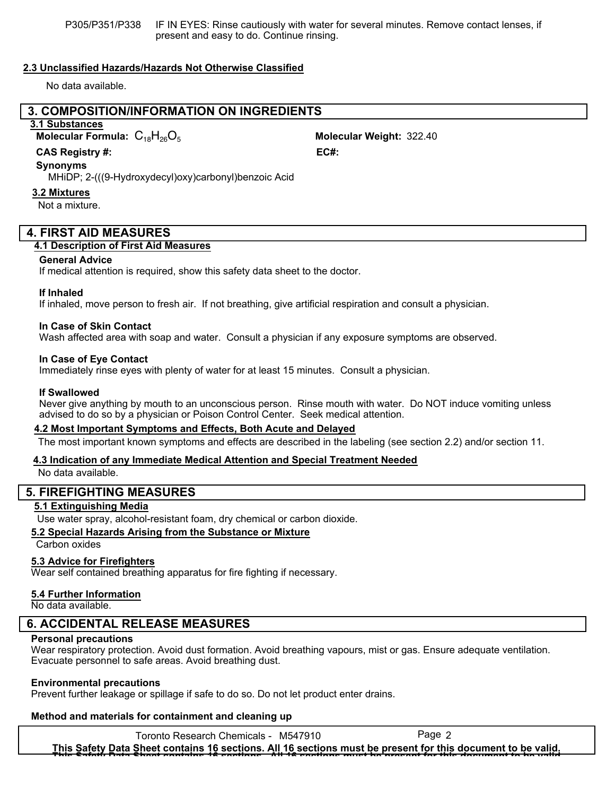P305/P351/P338 IF IN EYES: Rinse cautiously with water for several minutes. Remove contact lenses, if present and easy to do. Continue rinsing.

#### **2.3 Unclassified Hazards/Hazards Not Otherwise Classified**

No data available.

#### **3. COMPOSITION/INFORMATION ON INGREDIENTS**

#### **3.1 Substances**

**Molecular Formula:**  $C_{18}H_{26}O_5$  **Molecular Weight:** 322.40

#### **CAS Registry #: EC#:**

#### **Synonyms**

MHiDP; 2-(((9-Hydroxydecyl)oxy)carbonyl)benzoic Acid

#### **3.2 Mixtures**

Not a mixture.

#### **4. FIRST AID MEASURES**

#### **4.1 Description of First Aid Measures**

#### **General Advice**

If medical attention is required, show this safety data sheet to the doctor.

#### **If Inhaled**

If inhaled, move person to fresh air. If not breathing, give artificial respiration and consult a physician.

#### **In Case of Skin Contact**

Wash affected area with soap and water. Consult a physician if any exposure symptoms are observed.

#### **In Case of Eye Contact**

Immediately rinse eyes with plenty of water for at least 15 minutes. Consult a physician.

#### **If Swallowed**

Never give anything by mouth to an unconscious person. Rinse mouth with water. Do NOT induce vomiting unless advised to do so by a physician or Poison Control Center. Seek medical attention.

#### **4.2 Most Important Symptoms and Effects, Both Acute and Delayed**

The most important known symptoms and effects are described in the labeling (see section 2.2) and/or section 11.

#### **4.3 Indication of any Immediate Medical Attention and Special Treatment Needed**

No data available.

#### **5. FIREFIGHTING MEASURES**

#### **5.1 Extinguishing Media**

Use water spray, alcohol-resistant foam, dry chemical or carbon dioxide.

#### **5.2 Special Hazards Arising from the Substance or Mixture**

#### Carbon oxides

#### **5.3 Advice for Firefighters**

Wear self contained breathing apparatus for fire fighting if necessary.

#### **5.4 Further Information**

No data available.

#### **6. ACCIDENTAL RELEASE MEASURES**

#### **Personal precautions**

Wear respiratory protection. Avoid dust formation. Avoid breathing vapours, mist or gas. Ensure adequate ventilation. Evacuate personnel to safe areas. Avoid breathing dust.

#### **Environmental precautions**

Prevent further leakage or spillage if safe to do so. Do not let product enter drains.

#### **Method and materials for containment and cleaning up**

Toronto Research Chemicals - M547910 Page 2 **This Safety Data Sheet contains 16 sections. All 16 sections must be present for this document to be valid. This Safety Data Sheet contains 16 sections. All 16 sections must be present for this document to be valid.**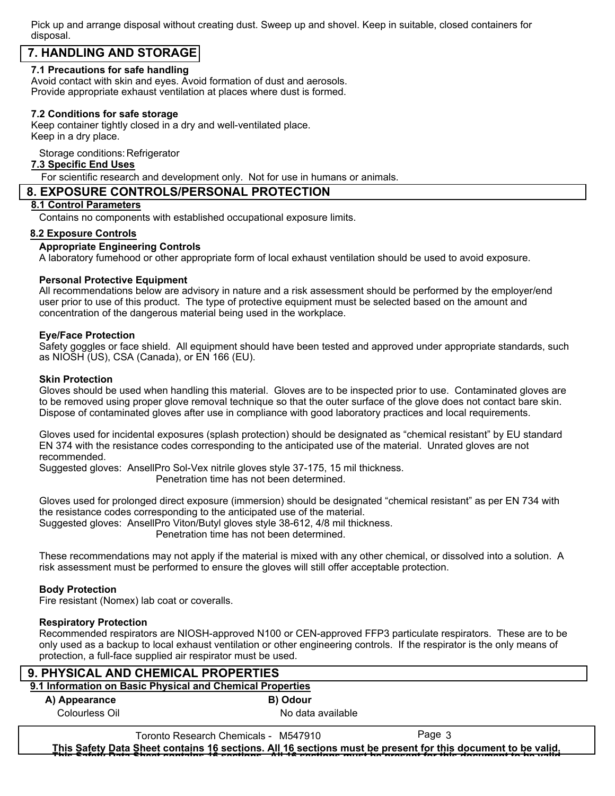Pick up and arrange disposal without creating dust. Sweep up and shovel. Keep in suitable, closed containers for disposal.

## **7. HANDLING AND STORAGE**

#### **7.1 Precautions for safe handling**

Avoid contact with skin and eyes. Avoid formation of dust and aerosols. Provide appropriate exhaust ventilation at places where dust is formed.

#### **7.2 Conditions for safe storage**

Keep container tightly closed in a dry and well-ventilated place. Keep in a dry place.

Storage conditions: Refrigerator

#### **7.3 Specific End Uses**

For scientific research and development only. Not for use in humans or animals.

#### **8. EXPOSURE CONTROLS/PERSONAL PROTECTION**

#### **8.1 Control Parameters**

Contains no components with established occupational exposure limits.

#### **8.2 Exposure Controls**

#### **Appropriate Engineering Controls**

A laboratory fumehood or other appropriate form of local exhaust ventilation should be used to avoid exposure.

#### **Personal Protective Equipment**

All recommendations below are advisory in nature and a risk assessment should be performed by the employer/end user prior to use of this product. The type of protective equipment must be selected based on the amount and concentration of the dangerous material being used in the workplace.

#### **Eye/Face Protection**

Safety goggles or face shield. All equipment should have been tested and approved under appropriate standards, such as NIOSH (US), CSA (Canada), or EN 166 (EU).

#### **Skin Protection**

Gloves should be used when handling this material. Gloves are to be inspected prior to use. Contaminated gloves are to be removed using proper glove removal technique so that the outer surface of the glove does not contact bare skin. Dispose of contaminated gloves after use in compliance with good laboratory practices and local requirements.

Gloves used for incidental exposures (splash protection) should be designated as "chemical resistant" by EU standard EN 374 with the resistance codes corresponding to the anticipated use of the material. Unrated gloves are not recommended.

Suggested gloves: AnsellPro Sol-Vex nitrile gloves style 37-175, 15 mil thickness.

Penetration time has not been determined.

Gloves used for prolonged direct exposure (immersion) should be designated "chemical resistant" as per EN 734 with the resistance codes corresponding to the anticipated use of the material. Suggested gloves: AnsellPro Viton/Butyl gloves style 38-612, 4/8 mil thickness.

Penetration time has not been determined.

These recommendations may not apply if the material is mixed with any other chemical, or dissolved into a solution. A risk assessment must be performed to ensure the gloves will still offer acceptable protection.

#### **Body Protection**

Fire resistant (Nomex) lab coat or coveralls.

#### **Respiratory Protection**

Recommended respirators are NIOSH-approved N100 or CEN-approved FFP3 particulate respirators. These are to be only used as a backup to local exhaust ventilation or other engineering controls. If the respirator is the only means of protection, a full-face supplied air respirator must be used.

| 9. PHYSICAL AND CHEMICAL PROPERTIES                       |                                      |                   |        |  |  |  |
|-----------------------------------------------------------|--------------------------------------|-------------------|--------|--|--|--|
| 9.1 Information on Basic Physical and Chemical Properties |                                      |                   |        |  |  |  |
| A) Appearance                                             |                                      | <b>B</b> ) Odour  |        |  |  |  |
| Colourless Oil                                            |                                      | No data available |        |  |  |  |
|                                                           | Toronto Research Chemicals - M547910 |                   | Page 3 |  |  |  |

**This Safety Data Sheet contains 16 sections. All 16 sections must be present for this document to be valid. This Safety Data Sheet contains 16 sections. All 16 sections must be present for this document to be valid.**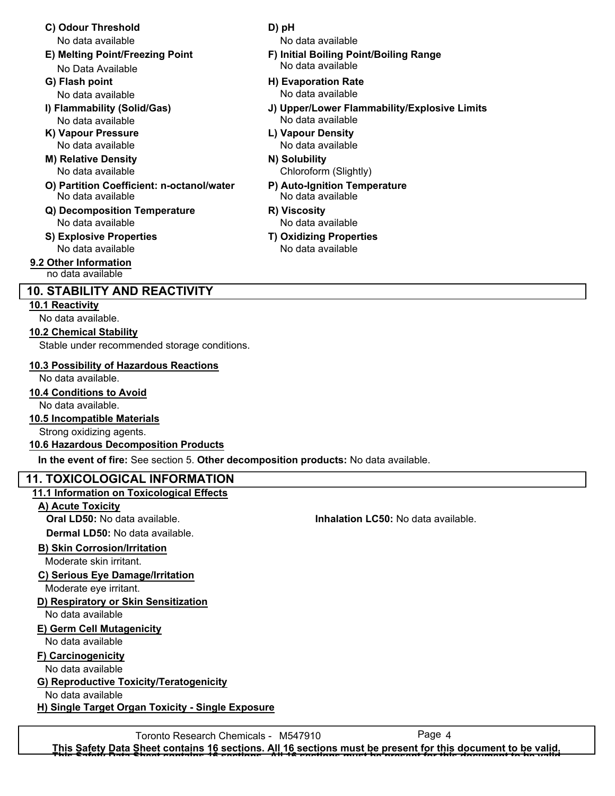- **C) Odour Threshold D) pH** No data available No data available
- **E) Melting Point/Freezing Point F) Initial Boiling Point/Boiling Range** No Data Available
- 
- No data available No data available
- **K) Vapour Pressure L) Vapour Density**
- **M) Relative Density N) Solubility** No data available
- **O) Partition Coefficient: n-octanol/water P) Auto-Ignition Temperature** No data available No data available
- **Q) Decomposition Temperature R) Viscosity** No data available No data available
- **S) Explosive Properties T) Oxidizing Properties** No data available No data available

**9.2 Other Information** no data available

### **10. STABILITY AND REACTIVITY**

#### **10.1 Reactivity**

No data available.

#### **10.2 Chemical Stability**

Stable under recommended storage conditions.

#### **10.3 Possibility of Hazardous Reactions**

#### No data available.

**10.4 Conditions to Avoid**

No data available.

#### **10.5 Incompatible Materials**

Strong oxidizing agents.

#### **10.6 Hazardous Decomposition Products**

**In the event of fire:** See section 5. **Other decomposition products:** No data available.

#### **11. TOXICOLOGICAL INFORMATION**

#### **11.1 Information on Toxicological Effects**

**A) Acute Toxicity**

**Dermal LD50:** No data available.

#### **B) Skin Corrosion/Irritation**

Moderate skin irritant.

#### **C) Serious Eye Damage/Irritation**

Moderate eye irritant.

#### **D) Respiratory or Skin Sensitization**

No data available

#### **E) Germ Cell Mutagenicity**

No data available

#### **F) Carcinogenicity**

No data available

#### **G) Reproductive Toxicity/Teratogenicity**

No data available

**H) Single Target Organ Toxicity - Single Exposure**

- No data available
- **G) Flash point H) Evaporation Rate** No data available No data available
- **I) Flammability (Solid/Gas) J) Upper/Lower Flammability/Explosive Limits**
	- No data available No data available
		- Chloroform (Slightly)
		-
		-
		-

Toronto Research Chemicals - M547910 Page 4 **This Safety Data Sheet contains 16 sections. All 16 sections must be present for this document to be valid. This Safety Data Sheet contains 16 sections. All 16 sections must be present for this document to be valid.**

#### **Oral LD50:** No data available. **Inhalation LC50:** No data available.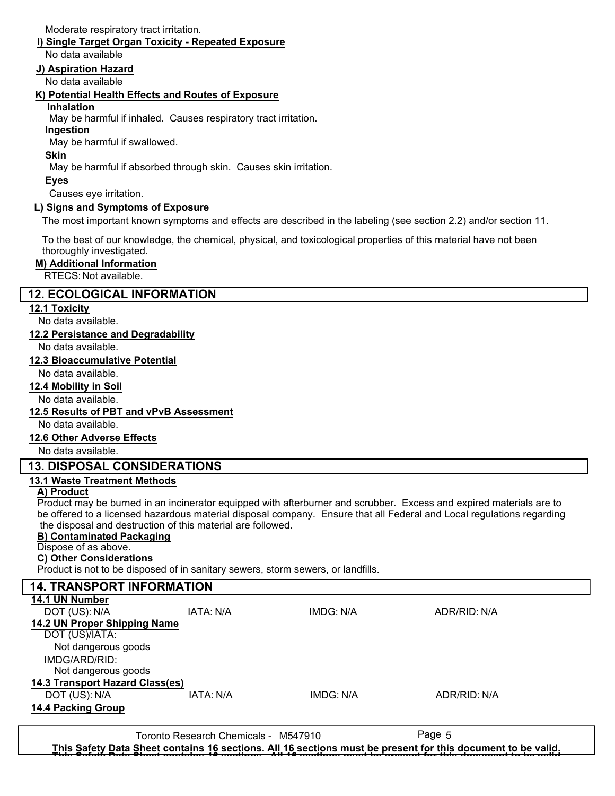Moderate respiratory tract irritation.

#### **I) Single Target Organ Toxicity - Repeated Exposure**

No data available

#### **J) Aspiration Hazard**

No data available

#### **K) Potential Health Effects and Routes of Exposure**

#### **Inhalation**

May be harmful if inhaled. Causes respiratory tract irritation.

#### **Ingestion**

May be harmful if swallowed.

#### **Skin**

May be harmful if absorbed through skin. Causes skin irritation.

#### **Eyes**

Causes eye irritation.

#### **L) Signs and Symptoms of Exposure**

The most important known symptoms and effects are described in the labeling (see section 2.2) and/or section 11.

To the best of our knowledge, the chemical, physical, and toxicological properties of this material have not been thoroughly investigated.

#### **M) Additional Information**

#### RTECS: Not available.

#### **12. ECOLOGICAL INFORMATION**

#### **12.1 Toxicity**

No data available.

#### **12.2 Persistance and Degradability**

No data available.

#### **12.3 Bioaccumulative Potential**

No data available.

#### **12.4 Mobility in Soil**

No data available.

#### **12.5 Results of PBT and vPvB Assessment**

No data available.

#### **12.6 Other Adverse Effects**

No data available.

#### **13. DISPOSAL CONSIDERATIONS**

#### **13.1 Waste Treatment Methods**

#### **A) Product**

Product may be burned in an incinerator equipped with afterburner and scrubber. Excess and expired materials are to be offered to a licensed hazardous material disposal company. Ensure that all Federal and Local regulations regarding the disposal and destruction of this material are followed.

#### **B) Contaminated Packaging**

#### Dispose of as above.

#### **C) Other Considerations**

Product is not to be disposed of in sanitary sewers, storm sewers, or landfills.

| <b>14. TRANSPORT INFORMATION</b> |           |           |              |  |  |
|----------------------------------|-----------|-----------|--------------|--|--|
| 14.1 UN Number                   |           |           |              |  |  |
| DOT (US): N/A                    | IATA: N/A | IMDG: N/A | ADR/RID: N/A |  |  |
| 14.2 UN Proper Shipping Name     |           |           |              |  |  |
| DOT (US)/IATA:                   |           |           |              |  |  |
| Not dangerous goods              |           |           |              |  |  |
| IMDG/ARD/RID:                    |           |           |              |  |  |
| Not dangerous goods              |           |           |              |  |  |
| 14.3 Transport Hazard Class(es)  |           |           |              |  |  |
| DOT (US): N/A                    | IATA: N/A | IMDG: N/A | ADR/RID: N/A |  |  |
| <b>14.4 Packing Group</b>        |           |           |              |  |  |
|                                  |           |           |              |  |  |

Toronto Research Chemicals - M547910 Page 5 **This Safety Data Sheet contains 16 sections. All 16 sections must be present for this document to be valid. This Safety Data Sheet contains 16 sections. All 16 sections must be present for this document to be valid.**